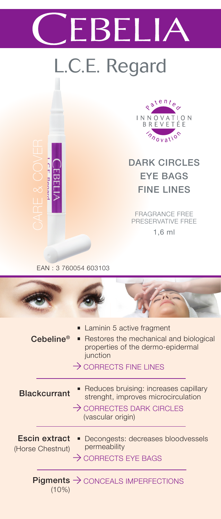# EBELIA

## L.C.E. Regard



DARK CIRCLES EYE BAGS FINE LINES

FRAGRANCE FREE PRESERVATIVE FREE 1,6 ml

#### EAN : 3 760054 603103

CE Reaste

| $\mathsf{Cebeline}^{\otimes}$            | ■ Laminin 5 active fragment<br>• Restores the mechanical and biological<br>properties of the dermo-epidermal<br>junction<br>$\rightarrow$ CORRECTS FINE LINES |
|------------------------------------------|---------------------------------------------------------------------------------------------------------------------------------------------------------------|
| <b>Blackcurrant</b>                      | Reduces bruising: increases capillary<br>٠<br>strenght, improves microcirculation<br>$\rightarrow$ CORRECTES DARK CIRCLES<br>(vascular origin)                |
| <b>Escin extract</b><br>(Horse Chestnut) | Decongests: decreases bloodvessels<br>permeability<br>$\rightarrow$ CORRECTS EYE BAGS                                                                         |
| (10%)                                    | <b>Pigments <math>\rightarrow</math> CONCEALS IMPERFECTIONS</b>                                                                                               |